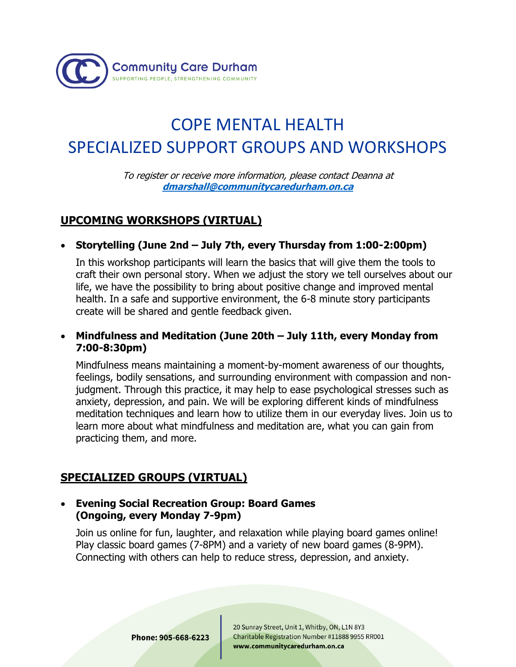

# COPE MENTAL HEALTH SPECIALIZED SUPPORT GROUPS AND WORKSHOPS

To register or receive more information, please contact Deanna at **[dmarshall@communitycaredurham.on.ca](mailto:dmarshall@communitycaredurham.on.ca)**

## **UPCOMING WORKSHOPS (VIRTUAL)**

• **Storytelling (June 2nd – July 7th, every Thursday from 1:00-2:00pm)** 

In this workshop participants will learn the basics that will give them the tools to craft their own personal story. When we adjust the story we tell ourselves about our life, we have the possibility to bring about positive change and improved mental health. In a safe and supportive environment, the 6-8 minute story participants create will be shared and gentle feedback given.

#### • **Mindfulness and Meditation (June 20th – July 11th, every Monday from 7:00-8:30pm)**

Mindfulness means maintaining a moment-by-moment awareness of our thoughts, feelings, bodily sensations, and surrounding environment with compassion and nonjudgment. Through this practice, it may help to ease psychological stresses such as anxiety, depression, and pain. We will be exploring different kinds of mindfulness meditation techniques and learn how to utilize them in our everyday lives. Join us to learn more about what mindfulness and meditation are, what you can gain from practicing them, and more.

# **SPECIALIZED GROUPS (VIRTUAL)**

#### • **Evening Social Recreation Group: Board Games (Ongoing, every Monday 7-9pm)**

Join us online for fun, laughter, and relaxation while playing board games online! Play classic board games (7-8PM) and a variety of new board games (8-9PM). Connecting with others can help to reduce stress, depression, and anxiety.

20 Sunray Street, Unit 1, Whitby, ON, L1N 8Y3 Charitable Registration Number #11888 9955 RR001 www.communitycaredurham.on.ca